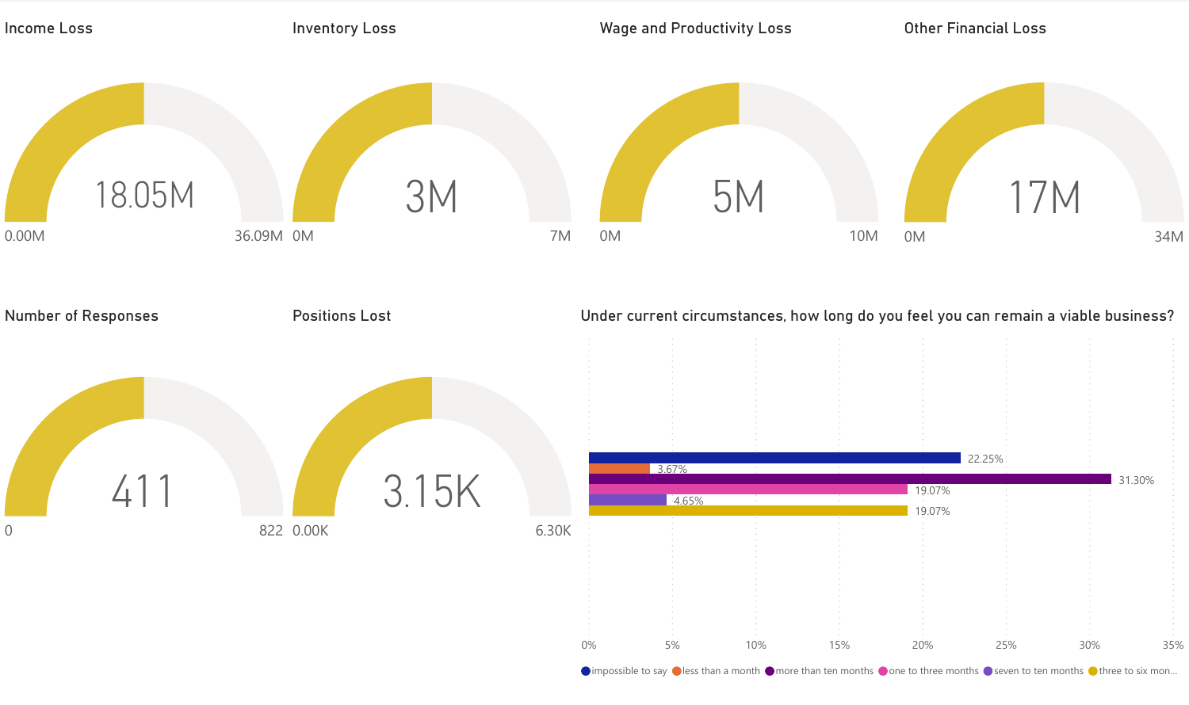

 $\bigcirc$  impossible to say  $\bigcirc$  less than a month  $\bigcirc$  more than ten months  $\bigcirc$  one to three months  $\bigcirc$  seven to ten months  $\bigcirc$  three to six mon...